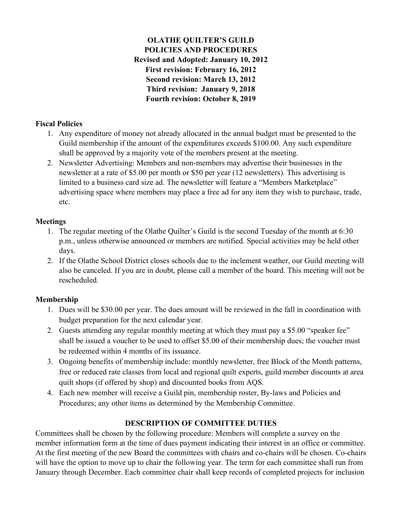# **OLATHE QUILTER'S GUILD POLICIES AND PROCEDURES Revised and Adopted: January 10, 2012 First revision: February 16, 2012 Second revision: March 13, 2012 Third revision: January 9, 2018 Fourth revision: October 8, 2019**

## **Fiscal Policies**

- 1. Any expenditure of money not already allocated in the annual budget must be presented to the Guild membership if the amount of the expenditures exceeds \$100.00. Any such expenditure shall be approved by a majority vote of the members present at the meeting.
- 2. Newsletter Advertising: Members and non-members may advertise their businesses in the newsletter at a rate of \$5.00 per month or \$50 per year (12 newsletters). This advertising is limited to a business card size ad. The newsletter will feature a "Members Marketplace" advertising space where members may place a free ad for any item they wish to purchase, trade, etc.

## **Meetings**

- 1. The regular meeting of the Olathe Quilter's Guild is the second Tuesday of the month at 6:30 p.m., unless otherwise announced or members are notified. Special activities may be held other days.
- 2. If the Olathe School District closes schools due to the inclement weather, our Guild meeting will also be canceled. If you are in doubt, please call a member of the board. This meeting will not be rescheduled.

## **Membership**

- 1. Dues will be \$30.00 per year. The dues amount will be reviewed in the fall in coordination with budget preparation for the next calendar year.
- 2. Guests attending any regular monthly meeting at which they must pay a \$5.00 "speaker fee" shall be issued a voucher to be used to offset \$5.00 of their membership dues; the voucher must be redeemed within 4 months of its issuance.
- 3. Ongoing benefits of membership include: monthly newsletter, free Block of the Month patterns, free or reduced rate classes from local and regional quilt experts, guild member discounts at area quilt shops (if offered by shop) and discounted books from AQS.
- 4. Each new member will receive a Guild pin, membership roster, By-laws and Policies and Procedures; any other items as determined by the Membership Committee.

# **DESCRIPTION OF COMMITTEE DUTIES**

Committees shall be chosen by the following procedure: Members will complete a survey on the member information form at the time of dues payment indicating their interest in an office or committee. At the first meeting of the new Board the committees with chairs and co-chairs will be chosen. Co-chairs will have the option to move up to chair the following year. The term for each committee shall run from January through December. Each committee chair shall keep records of completed projects for inclusion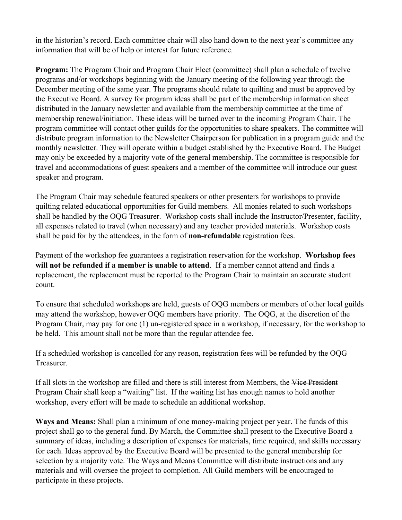in the historian's record. Each committee chair will also hand down to the next year's committee any information that will be of help or interest for future reference.

**Program:** The Program Chair and Program Chair Elect (committee) shall plan a schedule of twelve programs and/or workshops beginning with the January meeting of the following year through the December meeting of the same year. The programs should relate to quilting and must be approved by the Executive Board. A survey for program ideas shall be part of the membership information sheet distributed in the January newsletter and available from the membership committee at the time of membership renewal/initiation. These ideas will be turned over to the incoming Program Chair. The program committee will contact other guilds for the opportunities to share speakers. The committee will distribute program information to the Newsletter Chairperson for publication in a program guide and the monthly newsletter. They will operate within a budget established by the Executive Board. The Budget may only be exceeded by a majority vote of the general membership. The committee is responsible for travel and accommodations of guest speakers and a member of the committee will introduce our guest speaker and program.

The Program Chair may schedule featured speakers or other presenters for workshops to provide quilting related educational opportunities for Guild members. All monies related to such workshops shall be handled by the OQG Treasurer. Workshop costs shall include the Instructor/Presenter, facility, all expenses related to travel (when necessary) and any teacher provided materials. Workshop costs shall be paid for by the attendees, in the form of **non-refundable** registration fees.

Payment of the workshop fee guarantees a registration reservation for the workshop. **Workshop fees will not be refunded if a member is unable to attend**. If a member cannot attend and finds a replacement, the replacement must be reported to the Program Chair to maintain an accurate student count.

To ensure that scheduled workshops are held, guests of OQG members or members of other local guilds may attend the workshop, however OQG members have priority. The OQG, at the discretion of the Program Chair, may pay for one (1) un-registered space in a workshop, if necessary, for the workshop to be held. This amount shall not be more than the regular attendee fee.

If a scheduled workshop is cancelled for any reason, registration fees will be refunded by the OQG Treasurer.

If all slots in the workshop are filled and there is still interest from Members, the Vice President Program Chair shall keep a "waiting" list. If the waiting list has enough names to hold another workshop, every effort will be made to schedule an additional workshop.

**Ways and Means:** Shall plan a minimum of one money-making project per year. The funds of this project shall go to the general fund. By March, the Committee shall present to the Executive Board a summary of ideas, including a description of expenses for materials, time required, and skills necessary for each. Ideas approved by the Executive Board will be presented to the general membership for selection by a majority vote. The Ways and Means Committee will distribute instructions and any materials and will oversee the project to completion. All Guild members will be encouraged to participate in these projects.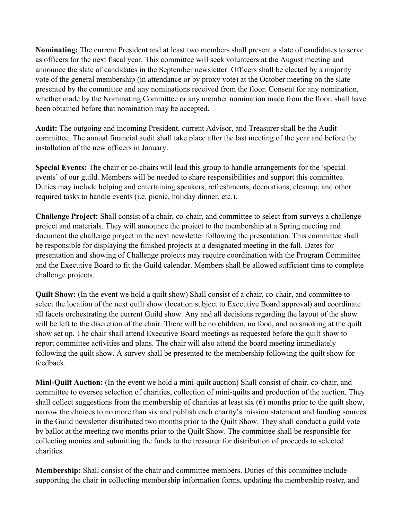**Nominating:** The current President and at least two members shall present a slate of candidates to serve as officers for the next fiscal year. This committee will seek volunteers at the August meeting and announce the slate of candidates in the September newsletter. Officers shall be elected by a majority vote of the general membership (in attendance or by proxy vote) at the October meeting on the slate presented by the committee and any nominations received from the floor. Consent for any nomination, whether made by the Nominating Committee or any member nomination made from the floor, shall have been obtained before that nomination may be accepted.

**Audit:** The outgoing and incoming President, current Advisor, and Treasurer shall be the Audit committee. The annual financial audit shall take place after the last meeting of the year and before the installation of the new officers in January.

**Special Events:** The chair or co-chairs will lead this group to handle arrangements for the 'special events' of our guild. Members will be needed to share responsibilities and support this committee. Duties may include helping and entertaining speakers, refreshments, decorations, cleanup, and other required tasks to handle events (i.e. picnic, holiday dinner, etc.).

**Challenge Project:** Shall consist of a chair, co-chair, and committee to select from surveys a challenge project and materials. They will announce the project to the membership at a Spring meeting and document the challenge project in the next newsletter following the presentation. This committee shall be responsible for displaying the finished projects at a designated meeting in the fall. Dates for presentation and showing of Challenge projects may require coordination with the Program Committee and the Executive Board to fit the Guild calendar. Members shall be allowed sufficient time to complete challenge projects.

**Quilt Show:** (In the event we hold a quilt show) Shall consist of a chair, co-chair, and committee to select the location of the next quilt show (location subject to Executive Board approval) and coordinate all facets orchestrating the current Guild show. Any and all decisions regarding the layout of the show will be left to the discretion of the chair. There will be no children, no food, and no smoking at the quilt show set up. The chair shall attend Executive Board meetings as requested before the quilt show to report committee activities and plans. The chair will also attend the board meeting immediately following the quilt show. A survey shall be presented to the membership following the quilt show for feedback.

**Mini-Quilt Auction:** (In the event we hold a mini-quilt auction) Shall consist of chair, co-chair, and committee to oversee selection of charities, collection of mini-quilts and production of the auction. They shall collect suggestions from the membership of charities at least six (6) months prior to the quilt show, narrow the choices to no more than six and publish each charity's mission statement and funding sources in the Guild newsletter distributed two months prior to the Quilt Show. They shall conduct a guild vote by ballot at the meeting two months prior to the Quilt Show. The committee shall be responsible for collecting monies and submitting the funds to the treasurer for distribution of proceeds to selected charities.

**Membership:** Shall consist of the chair and committee members. Duties of this committee include supporting the chair in collecting membership information forms, updating the membership roster, and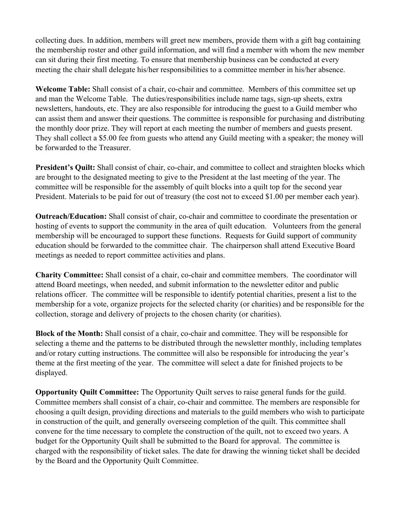collecting dues. In addition, members will greet new members, provide them with a gift bag containing the membership roster and other guild information, and will find a member with whom the new member can sit during their first meeting. To ensure that membership business can be conducted at every meeting the chair shall delegate his/her responsibilities to a committee member in his/her absence.

**Welcome Table:** Shall consist of a chair, co-chair and committee. Members of this committee set up and man the Welcome Table. The duties/responsibilities include name tags, sign-up sheets, extra newsletters, handouts, etc. They are also responsible for introducing the guest to a Guild member who can assist them and answer their questions. The committee is responsible for purchasing and distributing the monthly door prize. They will report at each meeting the number of members and guests present. They shall collect a \$5.00 fee from guests who attend any Guild meeting with a speaker; the money will be forwarded to the Treasurer.

**President's Quilt:** Shall consist of chair, co-chair, and committee to collect and straighten blocks which are brought to the designated meeting to give to the President at the last meeting of the year. The committee will be responsible for the assembly of quilt blocks into a quilt top for the second year President. Materials to be paid for out of treasury (the cost not to exceed \$1.00 per member each year).

**Outreach/Education:** Shall consist of chair, co-chair and committee to coordinate the presentation or hosting of events to support the community in the area of quilt education. Volunteers from the general membership will be encouraged to support these functions. Requests for Guild support of community education should be forwarded to the committee chair. The chairperson shall attend Executive Board meetings as needed to report committee activities and plans.

**Charity Committee:** Shall consist of a chair, co-chair and committee members. The coordinator will attend Board meetings, when needed, and submit information to the newsletter editor and public relations officer. The committee will be responsible to identify potential charities, present a list to the membership for a vote, organize projects for the selected charity (or charities) and be responsible for the collection, storage and delivery of projects to the chosen charity (or charities).

**Block of the Month:** Shall consist of a chair, co-chair and committee. They will be responsible for selecting a theme and the patterns to be distributed through the newsletter monthly, including templates and/or rotary cutting instructions. The committee will also be responsible for introducing the year's theme at the first meeting of the year. The committee will select a date for finished projects to be displayed.

**Opportunity Quilt Committee:** The Opportunity Quilt serves to raise general funds for the guild. Committee members shall consist of a chair, co-chair and committee. The members are responsible for choosing a quilt design, providing directions and materials to the guild members who wish to participate in construction of the quilt, and generally overseeing completion of the quilt. This committee shall convene for the time necessary to complete the construction of the quilt, not to exceed two years. A budget for the Opportunity Quilt shall be submitted to the Board for approval. The committee is charged with the responsibility of ticket sales. The date for drawing the winning ticket shall be decided by the Board and the Opportunity Quilt Committee.